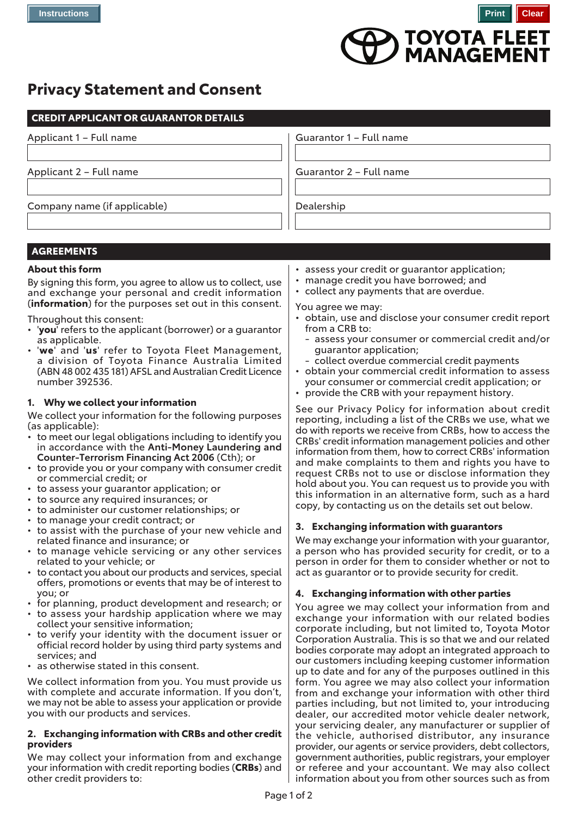

# **Privacy Statement and Consent**

| <b>CREDIT APPLICANT OR GUARANTOR DETAILS</b>                                                                                                                                                                                                                                                                                                                                                                                                                                  |                                                                                                                                                                                                                                                                                                                                                                                                                                                                                                                                    |
|-------------------------------------------------------------------------------------------------------------------------------------------------------------------------------------------------------------------------------------------------------------------------------------------------------------------------------------------------------------------------------------------------------------------------------------------------------------------------------|------------------------------------------------------------------------------------------------------------------------------------------------------------------------------------------------------------------------------------------------------------------------------------------------------------------------------------------------------------------------------------------------------------------------------------------------------------------------------------------------------------------------------------|
| Applicant 1 - Full name                                                                                                                                                                                                                                                                                                                                                                                                                                                       | Guarantor 1 - Full name                                                                                                                                                                                                                                                                                                                                                                                                                                                                                                            |
|                                                                                                                                                                                                                                                                                                                                                                                                                                                                               |                                                                                                                                                                                                                                                                                                                                                                                                                                                                                                                                    |
| Applicant 2 - Full name                                                                                                                                                                                                                                                                                                                                                                                                                                                       | Guarantor 2 - Full name                                                                                                                                                                                                                                                                                                                                                                                                                                                                                                            |
|                                                                                                                                                                                                                                                                                                                                                                                                                                                                               |                                                                                                                                                                                                                                                                                                                                                                                                                                                                                                                                    |
| Company name (if applicable)                                                                                                                                                                                                                                                                                                                                                                                                                                                  | Dealership                                                                                                                                                                                                                                                                                                                                                                                                                                                                                                                         |
|                                                                                                                                                                                                                                                                                                                                                                                                                                                                               |                                                                                                                                                                                                                                                                                                                                                                                                                                                                                                                                    |
|                                                                                                                                                                                                                                                                                                                                                                                                                                                                               |                                                                                                                                                                                                                                                                                                                                                                                                                                                                                                                                    |
| <b>AGREEMENTS</b>                                                                                                                                                                                                                                                                                                                                                                                                                                                             |                                                                                                                                                                                                                                                                                                                                                                                                                                                                                                                                    |
| <b>About this form</b>                                                                                                                                                                                                                                                                                                                                                                                                                                                        |                                                                                                                                                                                                                                                                                                                                                                                                                                                                                                                                    |
| By signing this form, you agree to allow us to collect, use<br>and exchange your personal and credit information<br>(information) for the purposes set out in this consent.<br>Throughout this consent:                                                                                                                                                                                                                                                                       | • assess your credit or guarantor application;<br>• manage credit you have borrowed; and<br>• collect any payments that are overdue.<br>You agree we may:<br>· obtain, use and disclose your consumer credit report                                                                                                                                                                                                                                                                                                                |
| • 'you' refers to the applicant (borrower) or a guarantor<br>as applicable.<br>. 'we' and 'us' refer to Toyota Fleet Management,<br>a division of Toyota Finance Australia Limited<br>(ABN 48 002 435 181) AFSL and Australian Credit Licence<br>number 392536.                                                                                                                                                                                                               | from a CRB to:<br>- assess your consumer or commercial credit and/or<br>guarantor application;<br>- collect overdue commercial credit payments<br>• obtain your commercial credit information to assess<br>your consumer or commercial credit application; or<br>• provide the CRB with your repayment history.                                                                                                                                                                                                                    |
| 1. Why we collect your information                                                                                                                                                                                                                                                                                                                                                                                                                                            | See our Privacy Policy for information about credit                                                                                                                                                                                                                                                                                                                                                                                                                                                                                |
| We collect your information for the following purposes<br>(as applicable):<br>• to meet our legal obligations including to identify you<br>in accordance with the Anti-Money Laundering and<br>Counter-Terrorism Financing Act 2006 (Cth); or<br>• to provide you or your company with consumer credit<br>or commercial credit; or<br>• to assess your guarantor application; or<br>• to source any required insurances; or<br>• to administer our customer relationships; or | reporting, including a list of the CRBs we use, what we<br>do with reports we receive from CRBs, how to access the<br>CRBs' credit information management policies and other<br>information from them, how to correct CRBs' information<br>and make complaints to them and rights you have to<br>request CRBs not to use or disclose information they<br>hold about you. You can request us to provide you with<br>this information in an alternative form, such as a hard<br>copy, by contacting us on the details set out below. |
| • to manage your credit contract; or<br>to assist with the purchase of your new vehicle and                                                                                                                                                                                                                                                                                                                                                                                   | 3. Exchanging information with guarantors                                                                                                                                                                                                                                                                                                                                                                                                                                                                                          |
| related finance and insurance; or<br>• to manage vehicle servicing or any other services<br>related to your vehicle; or<br>• to contact you about our products and services, special<br>offers, promotions or events that may be of interest to                                                                                                                                                                                                                               | We may exchange your information with your guarantor,<br>a person who has provided security for credit, or to a<br>person in order for them to consider whether or not to<br>act as guarantor or to provide security for credit.                                                                                                                                                                                                                                                                                                   |
| you; or                                                                                                                                                                                                                                                                                                                                                                                                                                                                       | 4. Exchanging information with other parties                                                                                                                                                                                                                                                                                                                                                                                                                                                                                       |
| • for planning, product development and research; or<br>• to assess your hardship application where we may<br>collect your sensitive information;<br>• to verify your identity with the document issuer or<br>official record holder by using third party systems and<br>services; and<br>• as otherwise stated in this consent.                                                                                                                                              | You agree we may collect your information from and<br>exchange your information with our related bodies<br>corporate including, but not limited to, Toyota Motor<br>Corporation Australia. This is so that we and our related<br>bodies corporate may adopt an integrated approach to<br>our customers including keeping customer information<br>up to date and for any of the purposes outlined in this                                                                                                                           |
| We collect information from you. You must provide us<br>with complete and accurate information. If you don't,<br>we may not be able to assess your application or provide<br>you with our products and services.                                                                                                                                                                                                                                                              | form. You agree we may also collect your information<br>from and exchange your information with other third<br>parties including, but not limited to, your introducing<br>dealer, our accredited motor vehicle dealer network,<br>cur servicing dealer, any manufacturer or supplier of                                                                                                                                                                                                                                            |

### **2. Exchanging information with CRBs and other credit providers**

We may collect your information from and exchange your information with credit reporting bodies (**CRBs**) and other credit providers to:

- -
- 

your servicing dealer, any manufacturer or supplier of the vehicle, authorised distributor, any insurance provider, our agents or service providers, debt collectors, government authorities, public registrars, your employer or referee and your accountant. We may also collect information about you from other sources such as from